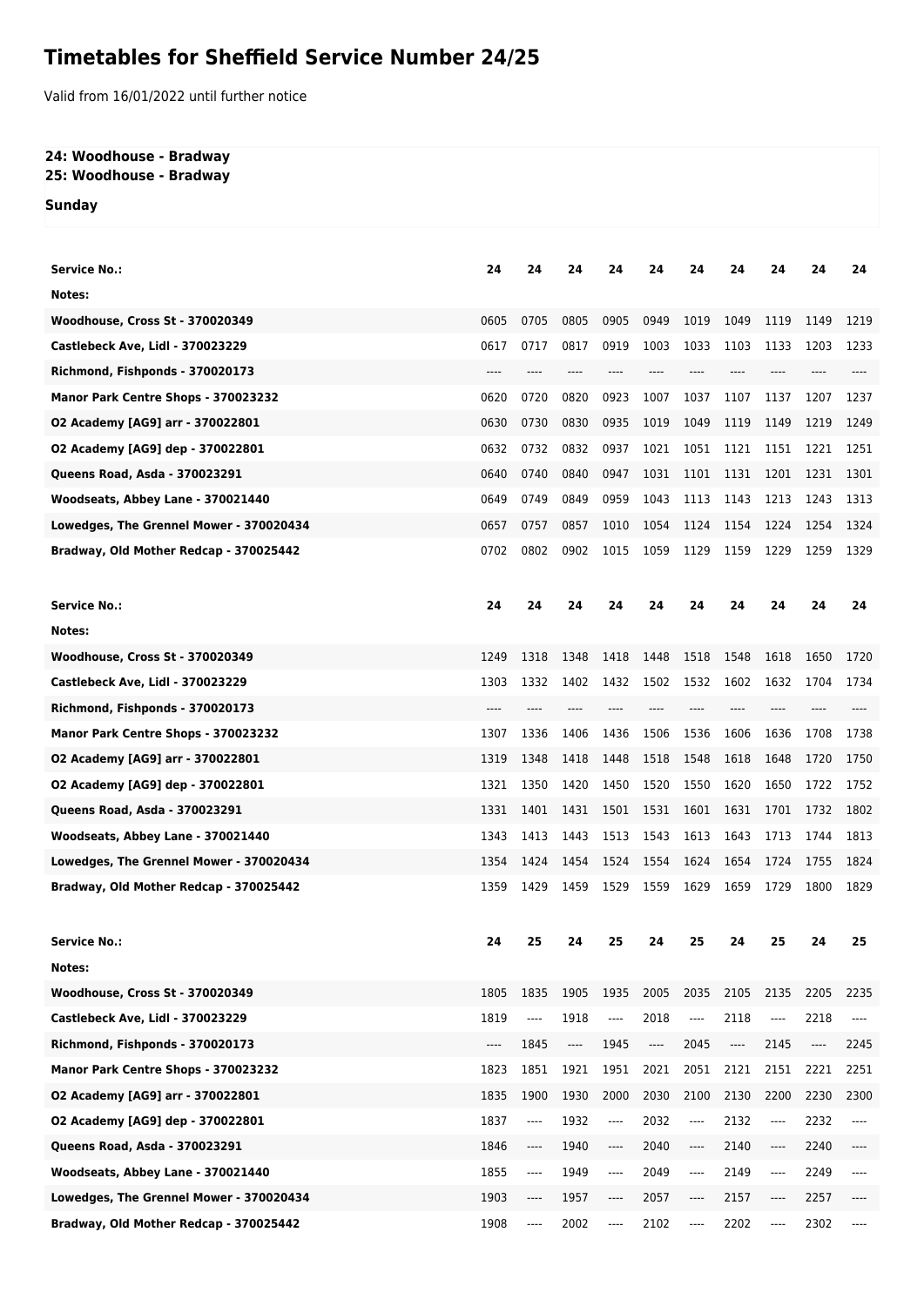## **Timetables for Sheffield Service Number 24/25**

Valid from 16/01/2022 until further notice

## **24: Woodhouse - Bradway 25: Woodhouse - Bradway**

**Sunday**

| <b>Service No.:</b>                     | 24   | 24                       | 24   | 24   | 24                       | 24   | 24                                              | 24       | 24   | 24       |
|-----------------------------------------|------|--------------------------|------|------|--------------------------|------|-------------------------------------------------|----------|------|----------|
| Notes:                                  |      |                          |      |      |                          |      |                                                 |          |      |          |
| <b>Woodhouse, Cross St - 370020349</b>  | 0605 | 0705                     | 0805 | 0905 | 0949                     | 1019 | 1049                                            | 1119     | 1149 | 1219     |
| Castlebeck Ave, Lidl - 370023229        | 0617 | 0717                     | 0817 | 0919 | 1003                     | 1033 | 1103                                            | 1133     | 1203 | 1233     |
| Richmond, Fishponds - 370020173         | ---- |                          |      |      |                          |      |                                                 |          |      |          |
| Manor Park Centre Shops - 370023232     | 0620 | 0720                     | 0820 | 0923 | 1007                     | 1037 | 1107                                            | 1137     | 1207 | 1237     |
| 02 Academy [AG9] arr - 370022801        | 0630 | 0730                     | 0830 | 0935 | 1019                     | 1049 | 1119                                            | 1149     | 1219 | 1249     |
| 02 Academy [AG9] dep - 370022801        | 0632 | 0732                     | 0832 | 0937 | 1021                     | 1051 | 1121                                            | 1151     | 1221 | 1251     |
| Queens Road, Asda - 370023291           | 0640 | 0740                     | 0840 | 0947 | 1031                     | 1101 | 1131                                            | 1201     | 1231 | 1301     |
| Woodseats, Abbey Lane - 370021440       | 0649 | 0749                     | 0849 | 0959 | 1043                     | 1113 | 1143                                            | 1213     | 1243 | 1313     |
| Lowedges, The Grennel Mower - 370020434 | 0657 | 0757                     | 0857 | 1010 | 1054                     | 1124 | 1154                                            | 1224     | 1254 | 1324     |
| Bradway, Old Mother Redcap - 370025442  | 0702 | 0802                     | 0902 | 1015 | 1059                     | 1129 | 1159                                            | 1229     | 1259 | 1329     |
|                                         |      |                          |      |      |                          |      |                                                 |          |      |          |
| <b>Service No.:</b>                     | 24   | 24                       | 24   | 24   | 24                       | 24   | 24                                              | 24       | 24   | 24       |
| Notes:                                  |      |                          |      |      |                          |      |                                                 |          |      |          |
| <b>Woodhouse, Cross St - 370020349</b>  | 1249 | 1318                     | 1348 | 1418 | 1448                     | 1518 | 1548                                            | 1618     | 1650 | 1720     |
| Castlebeck Ave, Lidl - 370023229        | 1303 | 1332                     | 1402 | 1432 | 1502                     | 1532 | 1602                                            | 1632     | 1704 | 1734     |
| Richmond, Fishponds - 370020173         | ---- |                          |      |      |                          |      |                                                 |          |      |          |
| Manor Park Centre Shops - 370023232     | 1307 | 1336                     | 1406 | 1436 | 1506                     | 1536 | 1606                                            | 1636     | 1708 | 1738     |
| 02 Academy [AG9] arr - 370022801        | 1319 | 1348                     | 1418 | 1448 | 1518                     | 1548 | 1618                                            | 1648     | 1720 | 1750     |
| 02 Academy [AG9] dep - 370022801        | 1321 | 1350                     | 1420 | 1450 | 1520                     | 1550 | 1620                                            | 1650     | 1722 | 1752     |
| Queens Road, Asda - 370023291           | 1331 | 1401                     | 1431 | 1501 | 1531                     | 1601 | 1631                                            | 1701     | 1732 | 1802     |
| Woodseats, Abbey Lane - 370021440       | 1343 | 1413                     | 1443 | 1513 | 1543                     | 1613 | 1643                                            | 1713     | 1744 | 1813     |
| Lowedges, The Grennel Mower - 370020434 | 1354 | 1424                     | 1454 | 1524 | 1554                     | 1624 | 1654                                            | 1724     | 1755 | 1824     |
| Bradway, Old Mother Redcap - 370025442  | 1359 | 1429                     | 1459 | 1529 | 1559                     | 1629 | 1659                                            | 1729     | 1800 | 1829     |
|                                         |      |                          |      |      |                          |      |                                                 |          |      |          |
| <b>Service No.:</b>                     | 24   | 25                       | 24   | 25   | 24                       | 25   | 24                                              | 25       | 24   | 25       |
| Notes:                                  |      |                          |      |      |                          |      |                                                 |          |      |          |
| Woodhouse, Cross St - 370020349         | 1805 | 1835                     | 1905 | 1935 | 2005                     | 2035 | 2105                                            | 2135     | 2205 | 2235     |
| Castlebeck Ave, Lidl - 370023229        | 1819 | $\overline{\phantom{a}}$ | 1918 | ---- | 2018                     | ---- | 2118                                            | ----     | 2218 | ----     |
| Richmond, Fishponds - 370020173         | ---- | 1845                     | ---- | 1945 | $\overline{\phantom{a}}$ | 2045 | $\hspace{0.05cm}\ldots$ $\hspace{0.05cm}\ldots$ | 2145     | ---- | 2245     |
| Manor Park Centre Shops - 370023232     | 1823 | 1851                     | 1921 | 1951 | 2021                     | 2051 | 2121                                            | 2151     | 2221 | 2251     |
| 02 Academy [AG9] arr - 370022801        | 1835 | 1900                     | 1930 | 2000 | 2030                     | 2100 | 2130                                            | 2200     | 2230 | 2300     |
| 02 Academy [AG9] dep - 370022801        | 1837 | ----                     | 1932 | ---- | 2032                     | ---- | 2132                                            | ----     | 2232 | ----     |
| Queens Road, Asda - 370023291           | 1846 | ----                     | 1940 | ---- | 2040                     | ---- | 2140                                            | ----     | 2240 | ----     |
| Woodseats, Abbey Lane - 370021440       | 1855 | $\overline{\phantom{a}}$ | 1949 | ---- | 2049                     | ---- | 2149                                            | ----     | 2249 | ----     |
| Lowedges, The Grennel Mower - 370020434 | 1903 | ----                     | 1957 | ---- | 2057                     | ---- | 2157                                            | $\cdots$ | 2257 | $---$    |
| Bradway, Old Mother Redcap - 370025442  | 1908 | ----                     | 2002 | ---- | 2102                     | ---- | 2202                                            | ----     | 2302 | $\cdots$ |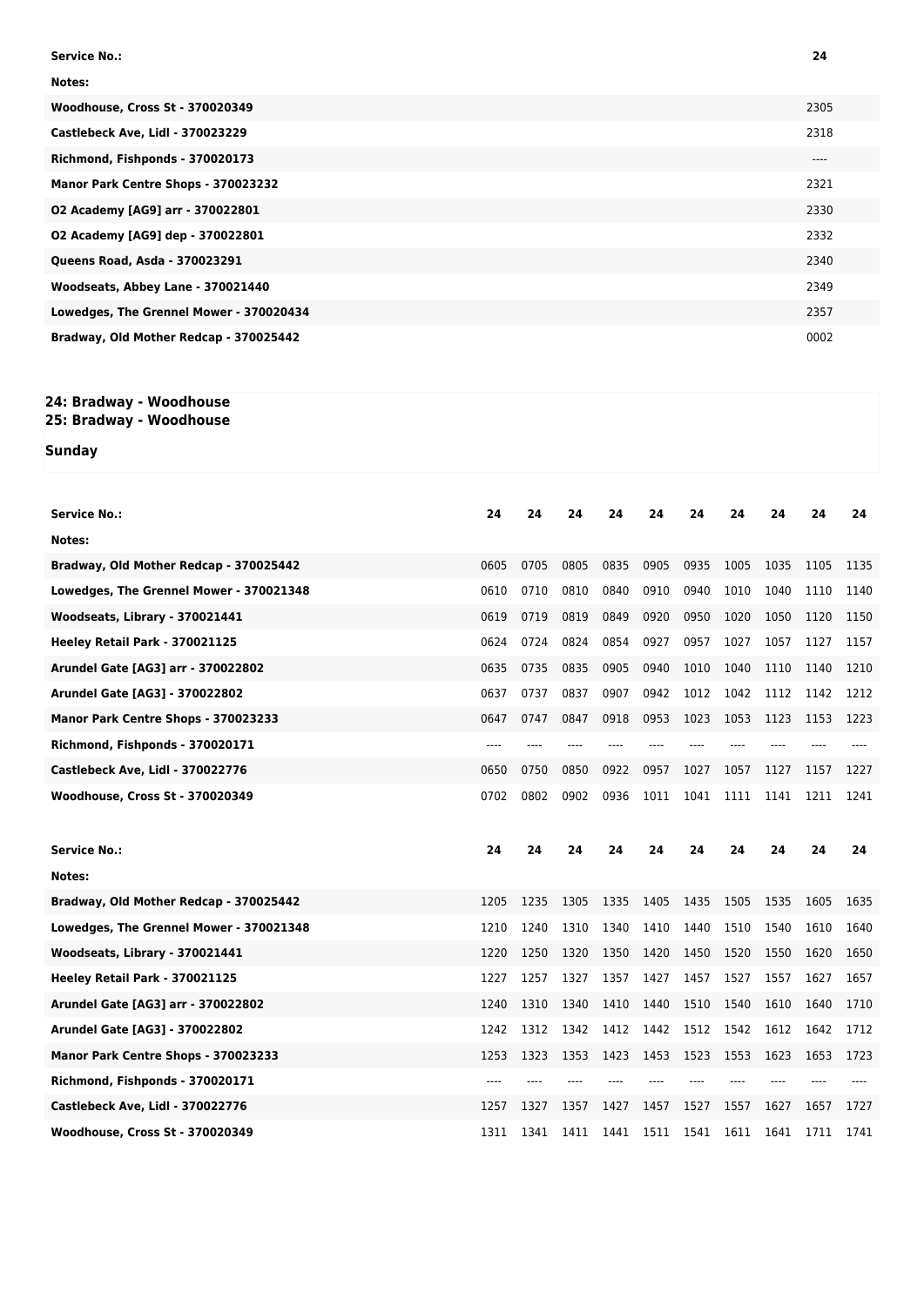| <b>Service No.:</b>                     | 24   |
|-----------------------------------------|------|
| Notes:                                  |      |
| Woodhouse, Cross St - 370020349         | 2305 |
| Castlebeck Ave, Lidl - 370023229        | 2318 |
| Richmond, Fishponds - 370020173         | ---- |
| Manor Park Centre Shops - 370023232     | 2321 |
| 02 Academy [AG9] arr - 370022801        | 2330 |
| 02 Academy [AG9] dep - 370022801        | 2332 |
| Queens Road, Asda - 370023291           | 2340 |
| Woodseats, Abbey Lane - 370021440       | 2349 |
| Lowedges, The Grennel Mower - 370020434 | 2357 |
| Bradway, Old Mother Redcap - 370025442  | 0002 |

## **24: Bradway - Woodhouse**

**25: Bradway - Woodhouse**

**Sunday**

| <b>Service No.:</b>                     | 24   | 24   | 24   | 24   | 24   | 24   | 24   | 24   | 24   | 24   |
|-----------------------------------------|------|------|------|------|------|------|------|------|------|------|
| Notes:                                  |      |      |      |      |      |      |      |      |      |      |
| Bradway, Old Mother Redcap - 370025442  | 0605 | 0705 | 0805 | 0835 | 0905 | 0935 | 1005 | 1035 | 1105 | 1135 |
| Lowedges, The Grennel Mower - 370021348 | 0610 | 0710 | 0810 | 0840 | 0910 | 0940 | 1010 | 1040 | 1110 | 1140 |
| Woodseats, Library - 370021441          | 0619 | 0719 | 0819 | 0849 | 0920 | 0950 | 1020 | 1050 | 1120 | 1150 |
| Heeley Retail Park - 370021125          | 0624 | 0724 | 0824 | 0854 | 0927 | 0957 | 1027 | 1057 | 1127 | 1157 |
| Arundel Gate [AG3] arr - 370022802      | 0635 | 0735 | 0835 | 0905 | 0940 | 1010 | 1040 | 1110 | 1140 | 1210 |
| Arundel Gate [AG3] - 370022802          | 0637 | 0737 | 0837 | 0907 | 0942 | 1012 | 1042 | 1112 | 1142 | 1212 |
| Manor Park Centre Shops - 370023233     | 0647 | 0747 | 0847 | 0918 | 0953 | 1023 | 1053 | 1123 | 1153 | 1223 |
| Richmond, Fishponds - 370020171         | ---- | ---- |      | ---- |      |      |      |      |      |      |
| Castlebeck Ave, Lidl - 370022776        | 0650 | 0750 | 0850 | 0922 | 0957 | 1027 | 1057 | 1127 | 1157 | 1227 |
| Woodhouse, Cross St - 370020349         | 0702 | 0802 | 0902 | 0936 | 1011 | 1041 | 1111 | 1141 | 1211 | 1241 |
|                                         |      |      |      |      |      |      |      |      |      |      |
|                                         |      |      |      |      |      |      |      |      |      |      |
| Service No.:                            | 24   | 24   | 24   | 24   | 24   | 24   | 24   | 24   | 24   | 24   |
| Notes:                                  |      |      |      |      |      |      |      |      |      |      |
| Bradway, Old Mother Redcap - 370025442  | 1205 | 1235 | 1305 | 1335 | 1405 | 1435 | 1505 | 1535 | 1605 | 1635 |
| Lowedges, The Grennel Mower - 370021348 | 1210 | 1240 | 1310 | 1340 | 1410 | 1440 | 1510 | 1540 | 1610 | 1640 |
| Woodseats, Library - 370021441          | 1220 | 1250 | 1320 | 1350 | 1420 | 1450 | 1520 | 1550 | 1620 | 1650 |
| Heeley Retail Park - 370021125          | 1227 | 1257 | 1327 | 1357 | 1427 | 1457 | 1527 | 1557 | 1627 | 1657 |
| Arundel Gate [AG3] arr - 370022802      | 1240 | 1310 | 1340 | 1410 | 1440 | 1510 | 1540 | 1610 | 1640 | 1710 |
| Arundel Gate [AG3] - 370022802          | 1242 | 1312 | 1342 | 1412 | 1442 | 1512 | 1542 | 1612 | 1642 | 1712 |
| Manor Park Centre Shops - 370023233     | 1253 | 1323 | 1353 | 1423 | 1453 | 1523 | 1553 | 1623 | 1653 | 1723 |
| Richmond, Fishponds - 370020171         |      |      |      |      |      |      |      |      |      |      |
| Castlebeck Ave, Lidl - 370022776        | 1257 | 1327 | 1357 | 1427 | 1457 | 1527 | 1557 | 1627 | 1657 | 1727 |